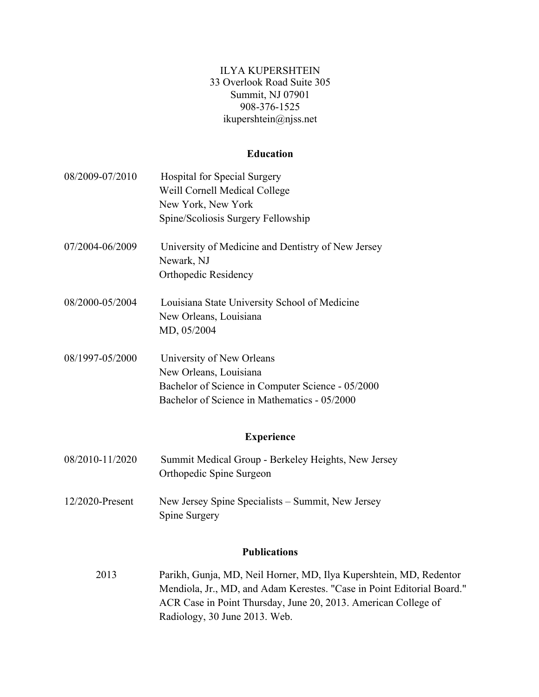ILYA KUPERSHTEIN 33 Overlook Road Suite 305 Summit, NJ 07901 908-376-1525 ikupershtein@njss.net

# **Education**

| 08/2009-07/2010 | <b>Hospital for Special Surgery</b><br>Weill Cornell Medical College<br>New York, New York                                                               |
|-----------------|----------------------------------------------------------------------------------------------------------------------------------------------------------|
|                 | Spine/Scoliosis Surgery Fellowship                                                                                                                       |
| 07/2004-06/2009 | University of Medicine and Dentistry of New Jersey<br>Newark, NJ<br><b>Orthopedic Residency</b>                                                          |
| 08/2000-05/2004 | Louisiana State University School of Medicine<br>New Orleans, Louisiana<br>MD, 05/2004                                                                   |
| 08/1997-05/2000 | University of New Orleans<br>New Orleans, Louisiana<br>Bachelor of Science in Computer Science - 05/2000<br>Bachelor of Science in Mathematics - 05/2000 |
|                 | <b>Experience</b>                                                                                                                                        |
| 08/2010-11/2020 | Summit Medical Group - Berkeley Heights, New Jersey<br>Orthopedic Spine Surgeon                                                                          |
| 12/2020-Present | New Jersey Spine Specialists – Summit, New Jersey<br>Spine Surgery                                                                                       |
|                 | <b>Publications</b>                                                                                                                                      |
| 2013            | Parikh, Gunja, MD, Neil Horner, MD, Ilya Kupershtein, MD, Redentor<br>Mendiola, Jr., MD, and Adam Kerestes. "Case in Point Editorial Board."             |

Radiology, 30 June 2013. Web.

ACR Case in Point Thursday, June 20, 2013. American College of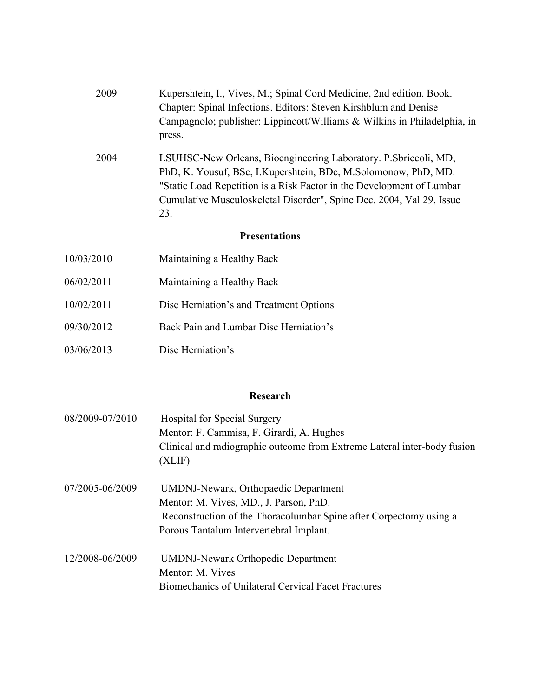| 2009 | Kupershtein, I., Vives, M.; Spinal Cord Medicine, 2nd edition. Book.     |
|------|--------------------------------------------------------------------------|
|      | Chapter: Spinal Infections. Editors: Steven Kirshblum and Denise         |
|      | Campagnolo; publisher: Lippincott/Williams & Wilkins in Philadelphia, in |
|      | press.                                                                   |

2004 LSUHSC-New Orleans, Bioengineering Laboratory. P.Sbriccoli, MD, PhD, K. Yousuf, BSc, I.Kupershtein, BDc, M.Solomonow, PhD, MD. "Static Load Repetition is a Risk Factor in the Development of Lumbar Cumulative Musculoskeletal Disorder", Spine Dec. 2004, Val 29, Issue 23.

#### **Presentations**

- 10/03/2010 Maintaining a Healthy Back
- 06/02/2011 Maintaining a Healthy Back
- 10/02/2011 Disc Herniation's and Treatment Options
- 09/30/2012 Back Pain and Lumbar Disc Herniation's
- 03/06/2013 Disc Herniation's

#### **Research**

| 08/2009-07/2010 | <b>Hospital for Special Surgery</b><br>Mentor: F. Cammisa, F. Girardi, A. Hughes<br>Clinical and radiographic outcome from Extreme Lateral inter-body fusion<br>(XLIF)                                 |
|-----------------|--------------------------------------------------------------------------------------------------------------------------------------------------------------------------------------------------------|
| 07/2005-06/2009 | <b>UMDNJ-Newark, Orthopaedic Department</b><br>Mentor: M. Vives, MD., J. Parson, PhD.<br>Reconstruction of the Thoracolumbar Spine after Corpectomy using a<br>Porous Tantalum Intervertebral Implant. |
| 12/2008-06/2009 | <b>UMDNJ-Newark Orthopedic Department</b><br>Mentor: M. Vives<br>Biomechanics of Unilateral Cervical Facet Fractures                                                                                   |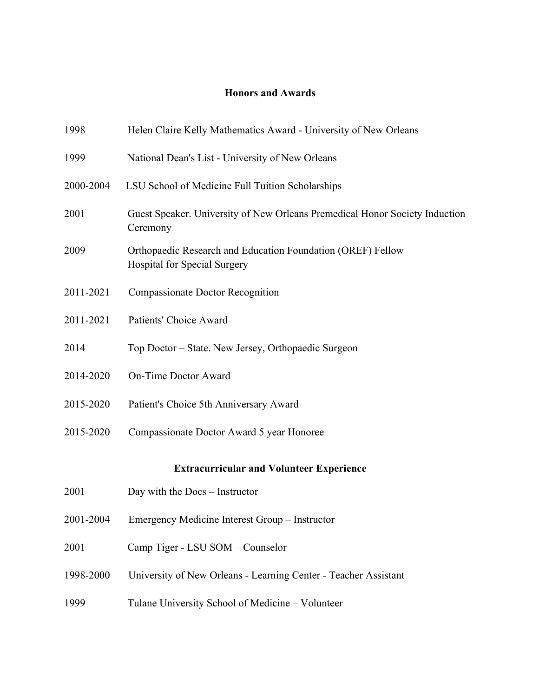# **Honors and Awards**

| 1998                                            | Helen Claire Kelly Mathematics Award - University of New Orleans                                   |  |
|-------------------------------------------------|----------------------------------------------------------------------------------------------------|--|
| 1999                                            | National Dean's List - University of New Orleans                                                   |  |
| 2000-2004                                       | LSU School of Medicine Full Tuition Scholarships                                                   |  |
| 2001                                            | Guest Speaker. University of New Orleans Premedical Honor Society Induction<br>Ceremony            |  |
| 2009                                            | Orthopaedic Research and Education Foundation (OREF) Fellow<br><b>Hospital for Special Surgery</b> |  |
| 2011-2021                                       | <b>Compassionate Doctor Recognition</b>                                                            |  |
| 2011-2021                                       | Patients' Choice Award                                                                             |  |
| 2014                                            | Top Doctor – State. New Jersey, Orthopaedic Surgeon                                                |  |
| 2014-2020                                       | <b>On-Time Doctor Award</b>                                                                        |  |
| 2015-2020                                       | Patient's Choice 5th Anniversary Award                                                             |  |
| 2015-2020                                       | Compassionate Doctor Award 5 year Honoree                                                          |  |
| <b>Extracurricular and Volunteer Experience</b> |                                                                                                    |  |
| 2001                                            | Day with the Docs – Instructor                                                                     |  |
| 2001-2004                                       | Emergency Medicine Interest Group – Instructor                                                     |  |
| 2001                                            | Camp Tiger - LSU SOM - Counselor                                                                   |  |
| 1998-2000                                       | University of New Orleans - Learning Center - Teacher Assistant                                    |  |
| 1999                                            | Tulane University School of Medicine - Volunteer                                                   |  |